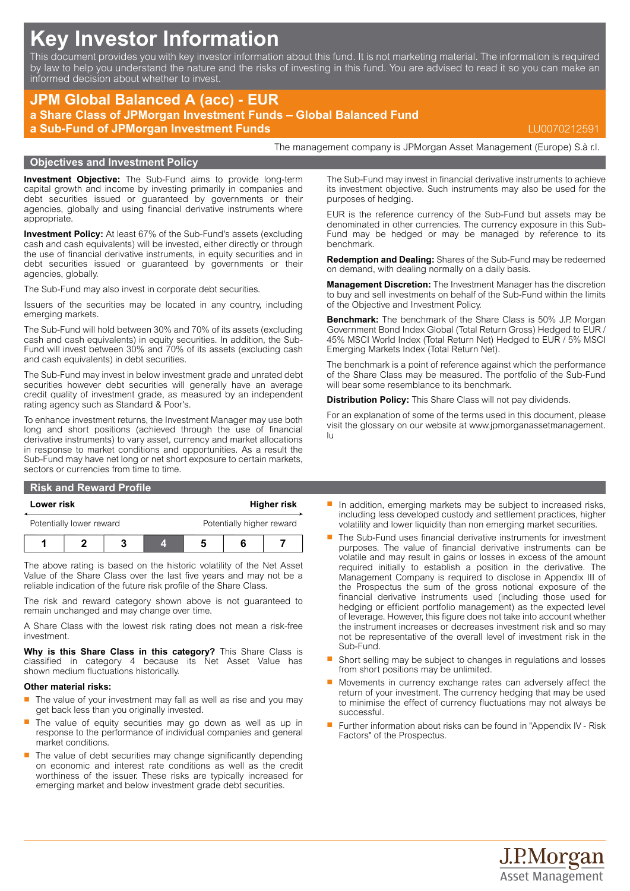# **Key Investor Information**

This document provides you with key investor information about this fund. It is not marketing material. The information is required by law to help you understand the nature and the risks of investing in this fund. You are advised to read it so you can make an informed decision about whether to invest.

## **JPM Global Balanced A (acc) - EUR a Share Class of JPMorgan Investment Funds – Global Balanced Fund a Sub-Fund of JPMorgan Investment Funds** LU0070212591

**Objectives and Investment Policy**

The management company is JPMorgan Asset Management (Europe) S.à r.l.

**Investment Objective:** The Sub-Fund aims to provide long-term capital growth and income by investing primarily in companies and debt securities issued or guaranteed by governments or their agencies, globally and using financial derivative instruments where appropriate.

**Investment Policy:** At least 67% of the Sub-Fund's assets (excluding cash and cash equivalents) will be invested, either directly or through the use of financial derivative instruments, in equity securities and in debt securities issued or guaranteed by governments or their agencies, globally.

The Sub-Fund may also invest in corporate debt securities.

Issuers of the securities may be located in any country, including emerging markets.

The Sub-Fund will hold between 30% and 70% of its assets (excluding cash and cash equivalents) in equity securities. In addition, the Sub-Fund will invest between 30% and 70% of its assets (excluding cash and cash equivalents) in debt securities.

The Sub-Fund may invest in below investment grade and unrated debt securities however debt securities will generally have an average credit quality of investment grade, as measured by an independent rating agency such as Standard & Poor's.

To enhance investment returns, the Investment Manager may use both long and short positions (achieved through the use of financial derivative instruments) to vary asset, currency and market allocations in response to market conditions and opportunities. As a result the Sub-Fund may have net long or net short exposure to certain markets, sectors or currencies from time to time.

#### **Risk and Reward Profile**

#### **Lower risk Higher risk**

| Potentially lower reward |  |  |  | Potentially higher reward |  |  |
|--------------------------|--|--|--|---------------------------|--|--|
|                          |  |  |  |                           |  |  |

The above rating is based on the historic volatility of the Net Asset Value of the Share Class over the last five years and may not be a reliable indication of the future risk profile of the Share Class.

The risk and reward category shown above is not guaranteed to remain unchanged and may change over time.

A Share Class with the lowest risk rating does not mean a risk-free investment.

**Why is this Share Class in this category?** This Share Class is classified in category 4 because its Net Asset Value has shown medium fluctuations historically.

#### **Other material risks:**

- $\blacksquare$  The value of your investment may fall as well as rise and you may get back less than you originally invested.
- The value of equity securities may go down as well as up in response to the performance of individual companies and general market conditions.
- The value of debt securities may change significantly depending on economic and interest rate conditions as well as the credit worthiness of the issuer. These risks are typically increased for emerging market and below investment grade debt securities.

The Sub-Fund may invest in financial derivative instruments to achieve its investment objective. Such instruments may also be used for the purposes of hedging.

EUR is the reference currency of the Sub-Fund but assets may be denominated in other currencies. The currency exposure in this Sub-Fund may be hedged or may be managed by reference to its benchmark.

**Redemption and Dealing:** Shares of the Sub-Fund may be redeemed on demand, with dealing normally on a daily basis.

**Management Discretion:** The Investment Manager has the discretion to buy and sell investments on behalf of the Sub-Fund within the limits of the Objective and Investment Policy.

**Benchmark:** The benchmark of the Share Class is 50% J.P. Morgan Government Bond Index Global (Total Return Gross) Hedged to EUR / 45% MSCI World Index (Total Return Net) Hedged to EUR / 5% MSCI Emerging Markets Index (Total Return Net).

The benchmark is a point of reference against which the performance of the Share Class may be measured. The portfolio of the Sub-Fund will bear some resemblance to its benchmark.

**Distribution Policy:** This Share Class will not pay dividends.

For an explanation of some of the terms used in this document, please visit the glossary on our website at [www.jpmorganassetmanagement.](www.jpmorganassetmanagement.lu) [lu](www.jpmorganassetmanagement.lu)

- In addition, emerging markets may be subject to increased risks, including less developed custody and settlement practices, higher volatility and lower liquidity than non emerging market securities.
- The Sub-Fund uses financial derivative instruments for investment purposes. The value of financial derivative instruments can be volatile and may result in gains or losses in excess of the amount required initially to establish a position in the derivative. The Management Company is required to disclose in Appendix III of the Prospectus the sum of the gross notional exposure of the financial derivative instruments used (including those used for hedging or efficient portfolio management) as the expected level of leverage. However, this figure does not take into account whether the instrument increases or decreases investment risk and so may not be representative of the overall level of investment risk in the Sub-Fund.
- Short selling may be subject to changes in regulations and losses from short positions may be unlimited.
- Movements in currency exchange rates can adversely affect the return of your investment. The currency hedging that may be used to minimise the effect of currency fluctuations may not always be successful.
- Further information about risks can be found in "Appendix IV Risk Factors" of the Prospectus.